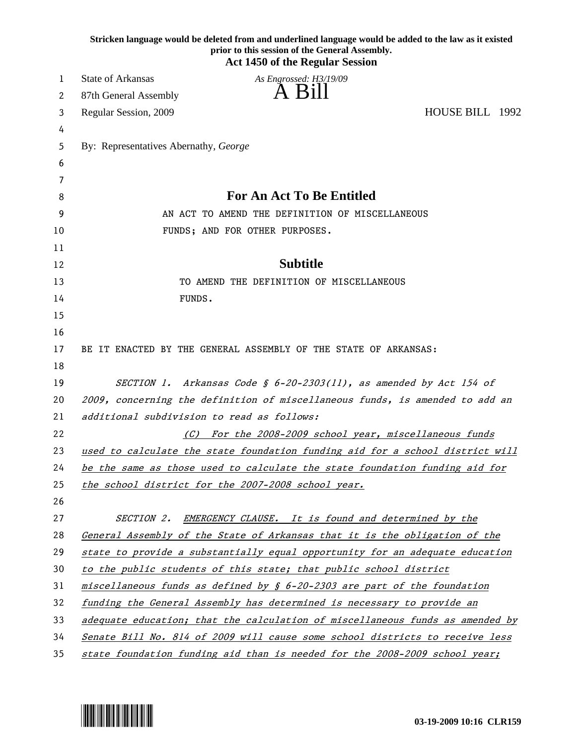|    | Stricken language would be deleted from and underlined language would be added to the law as it existed<br>prior to this session of the General Assembly.<br><b>Act 1450 of the Regular Session</b> |
|----|-----------------------------------------------------------------------------------------------------------------------------------------------------------------------------------------------------|
| 1  | State of Arkansas<br>As Engrossed: H3/19/09                                                                                                                                                         |
| 2  | A Bill<br>87th General Assembly                                                                                                                                                                     |
| 3  | HOUSE BILL 1992<br>Regular Session, 2009                                                                                                                                                            |
| 4  |                                                                                                                                                                                                     |
| 5  | By: Representatives Abernathy, George                                                                                                                                                               |
| 6  |                                                                                                                                                                                                     |
| 7  |                                                                                                                                                                                                     |
| 8  | <b>For An Act To Be Entitled</b>                                                                                                                                                                    |
| 9  | AN ACT TO AMEND THE DEFINITION OF MISCELLANEOUS                                                                                                                                                     |
| 10 | FUNDS; AND FOR OTHER PURPOSES.                                                                                                                                                                      |
| 11 |                                                                                                                                                                                                     |
| 12 | <b>Subtitle</b>                                                                                                                                                                                     |
| 13 | TO AMEND THE DEFINITION OF MISCELLANEOUS                                                                                                                                                            |
| 14 | FUNDS.                                                                                                                                                                                              |
| 15 |                                                                                                                                                                                                     |
| 16 |                                                                                                                                                                                                     |
| 17 | BE IT ENACTED BY THE GENERAL ASSEMBLY OF THE STATE OF ARKANSAS:                                                                                                                                     |
| 18 |                                                                                                                                                                                                     |
| 19 | SECTION 1. Arkansas Code § $6-20-2303(11)$ , as amended by Act 154 of                                                                                                                               |
| 20 | 2009, concerning the definition of miscellaneous funds, is amended to add an                                                                                                                        |
| 21 | additional subdivision to read as follows:                                                                                                                                                          |
| 22 | (C) For the 2008-2009 school year, miscellaneous funds                                                                                                                                              |
| 23 | used to calculate the state foundation funding aid for a school district will                                                                                                                       |
| 24 | be the same as those used to calculate the state foundation funding aid for                                                                                                                         |
| 25 | the school district for the 2007-2008 school year.                                                                                                                                                  |
| 26 |                                                                                                                                                                                                     |
| 27 | SECTION 2.<br>EMERGENCY CLAUSE. It is found and determined by the                                                                                                                                   |
| 28 | General Assembly of the State of Arkansas that it is the obligation of the                                                                                                                          |
| 29 | state to provide a substantially equal opportunity for an adequate education                                                                                                                        |
| 30 | to the public students of this state; that public school district                                                                                                                                   |
| 31 | miscellaneous funds as defined by $\frac{1}{2}$ 6-20-2303 are part of the foundation                                                                                                                |
| 32 | funding the General Assembly has determined is necessary to provide an                                                                                                                              |
| 33 | adequate education; that the calculation of miscellaneous funds as amended by                                                                                                                       |
| 34 | Senate Bill No. 814 of 2009 will cause some school districts to receive less                                                                                                                        |
| 35 | state foundation funding aid than is needed for the 2008-2009 school year;                                                                                                                          |